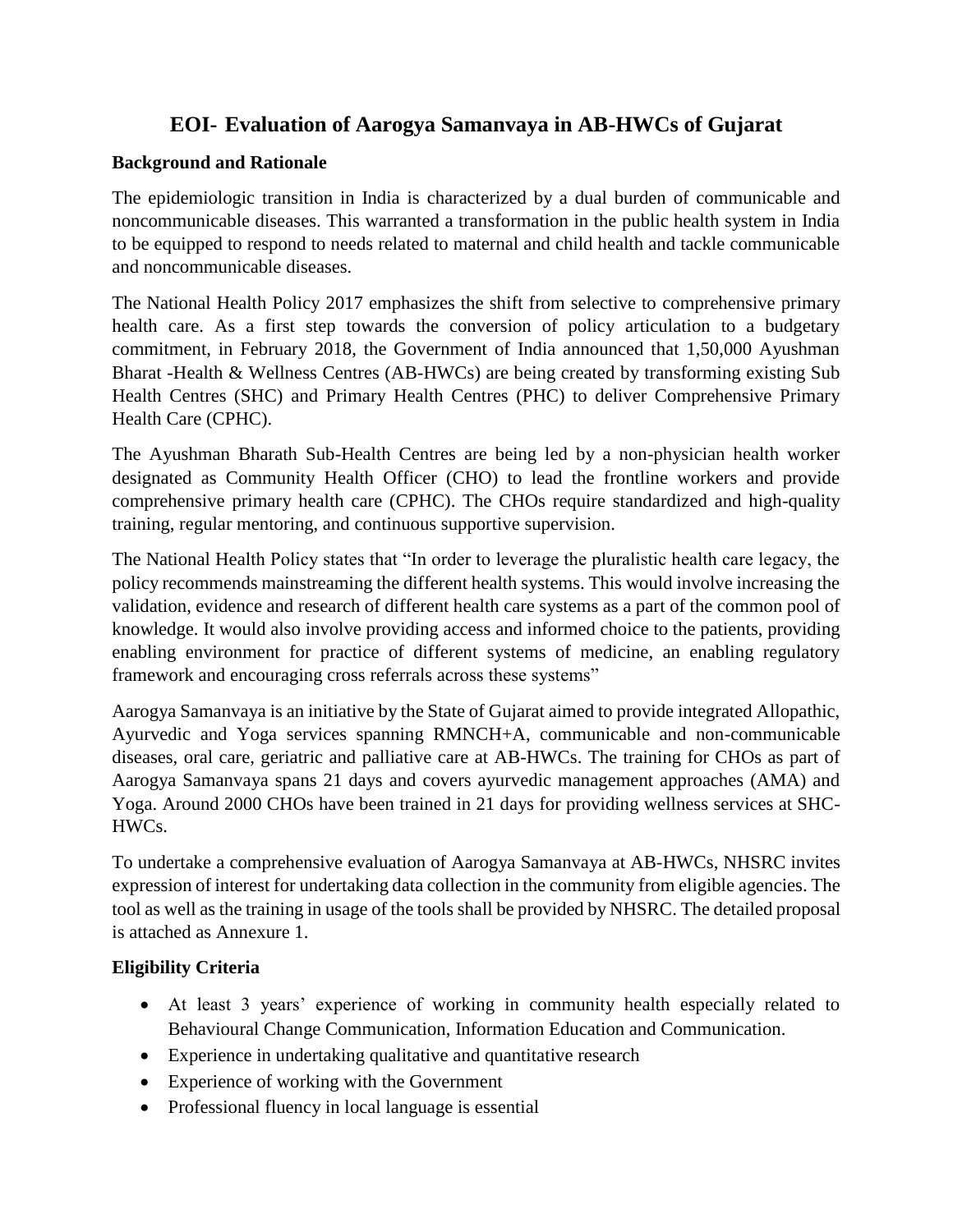## **EOI- Evaluation of Aarogya Samanvaya in AB-HWCs of Gujarat**

#### **Background and Rationale**

The epidemiologic transition in India is characterized by a dual burden of communicable and noncommunicable diseases. This warranted a transformation in the public health system in India to be equipped to respond to needs related to maternal and child health and tackle communicable and noncommunicable diseases.

The National Health Policy 2017 emphasizes the shift from selective to comprehensive primary health care. As a first step towards the conversion of policy articulation to a budgetary commitment, in February 2018, the Government of India announced that 1,50,000 Ayushman Bharat -Health & Wellness Centres (AB-HWCs) are being created by transforming existing Sub Health Centres (SHC) and Primary Health Centres (PHC) to deliver Comprehensive Primary Health Care (CPHC).

The Ayushman Bharath Sub-Health Centres are being led by a non-physician health worker designated as Community Health Officer (CHO) to lead the frontline workers and provide comprehensive primary health care (CPHC). The CHOs require standardized and high-quality training, regular mentoring, and continuous supportive supervision.

The National Health Policy states that "In order to leverage the pluralistic health care legacy, the policy recommends mainstreaming the different health systems. This would involve increasing the validation, evidence and research of different health care systems as a part of the common pool of knowledge. It would also involve providing access and informed choice to the patients, providing enabling environment for practice of different systems of medicine, an enabling regulatory framework and encouraging cross referrals across these systems"

Aarogya Samanvaya is an initiative by the State of Gujarat aimed to provide integrated Allopathic, Ayurvedic and Yoga services spanning RMNCH+A, communicable and non-communicable diseases, oral care, geriatric and palliative care at AB-HWCs. The training for CHOs as part of Aarogya Samanvaya spans 21 days and covers ayurvedic management approaches (AMA) and Yoga. Around 2000 CHOs have been trained in 21 days for providing wellness services at SHC-HWCs.

To undertake a comprehensive evaluation of Aarogya Samanvaya at AB-HWCs, NHSRC invites expression of interest for undertaking data collection in the community from eligible agencies. The tool as well as the training in usage of the tools shall be provided by NHSRC. The detailed proposal is attached as Annexure 1.

## **Eligibility Criteria**

- At least 3 years' experience of working in community health especially related to Behavioural Change Communication, Information Education and Communication.
- Experience in undertaking qualitative and quantitative research
- Experience of working with the Government
- Professional fluency in local language is essential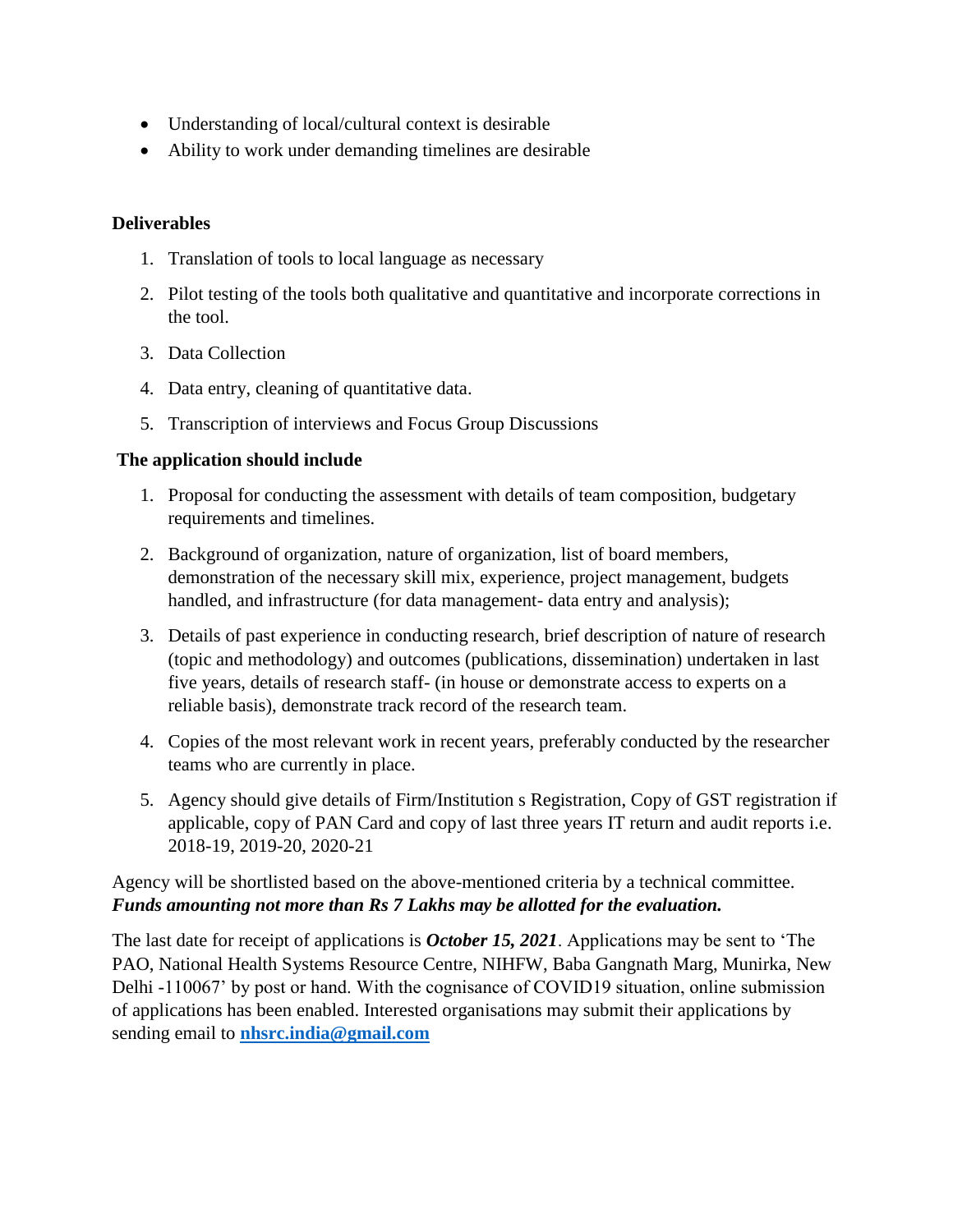- Understanding of local/cultural context is desirable
- Ability to work under demanding timelines are desirable

#### **Deliverables**

- 1. Translation of tools to local language as necessary
- 2. Pilot testing of the tools both qualitative and quantitative and incorporate corrections in the tool.
- 3. Data Collection
- 4. Data entry, cleaning of quantitative data.
- 5. Transcription of interviews and Focus Group Discussions

#### **The application should include**

- 1. Proposal for conducting the assessment with details of team composition, budgetary requirements and timelines.
- 2. Background of organization, nature of organization, list of board members, demonstration of the necessary skill mix, experience, project management, budgets handled, and infrastructure (for data management- data entry and analysis);
- 3. Details of past experience in conducting research, brief description of nature of research (topic and methodology) and outcomes (publications, dissemination) undertaken in last five years, details of research staff- (in house or demonstrate access to experts on a reliable basis), demonstrate track record of the research team.
- 4. Copies of the most relevant work in recent years, preferably conducted by the researcher teams who are currently in place.
- 5. Agency should give details of Firm/Institution s Registration, Copy of GST registration if applicable, copy of PAN Card and copy of last three years IT return and audit reports i.e. 2018-19, 2019-20, 2020-21

Agency will be shortlisted based on the above-mentioned criteria by a technical committee. *Funds amounting not more than Rs 7 Lakhs may be allotted for the evaluation.*

The last date for receipt of applications is *October 15, 2021*. Applications may be sent to 'The PAO, National Health Systems Resource Centre, NIHFW, Baba Gangnath Marg, Munirka, New Delhi -110067' by post or hand. With the cognisance of COVID19 situation, online submission of applications has been enabled. Interested organisations may submit their applications by sending email to **[nhsrc.india@gmail.com](mailto:nhsrc.india@gmail.com)**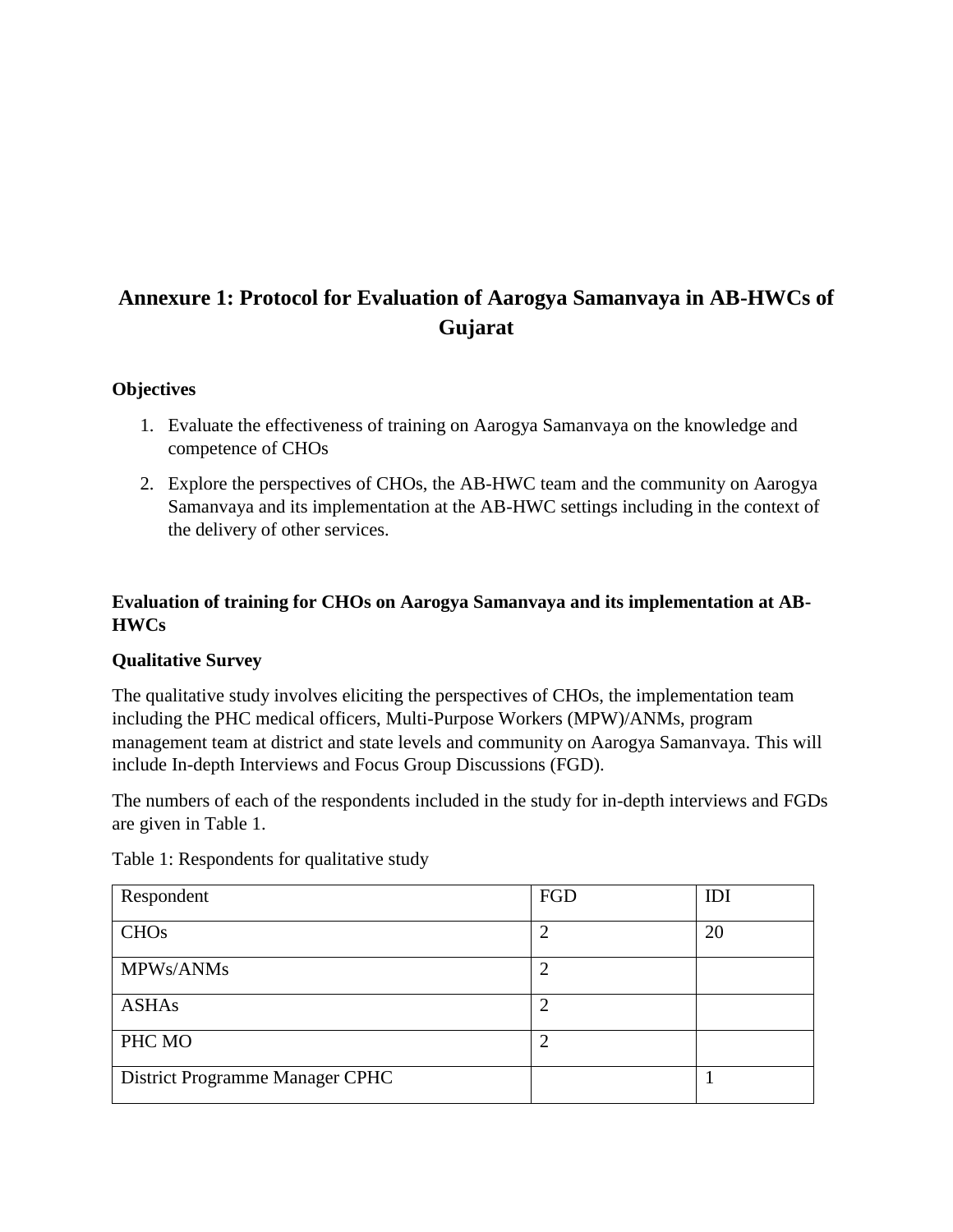# **Annexure 1: Protocol for Evaluation of Aarogya Samanvaya in AB-HWCs of Gujarat**

#### **Objectives**

- 1. Evaluate the effectiveness of training on Aarogya Samanvaya on the knowledge and competence of CHOs
- 2. Explore the perspectives of CHOs, the AB-HWC team and the community on Aarogya Samanvaya and its implementation at the AB-HWC settings including in the context of the delivery of other services.

### **Evaluation of training for CHOs on Aarogya Samanvaya and its implementation at AB-HWCs**

#### **Qualitative Survey**

The qualitative study involves eliciting the perspectives of CHOs, the implementation team including the PHC medical officers, Multi-Purpose Workers (MPW)/ANMs, program management team at district and state levels and community on Aarogya Samanvaya. This will include In-depth Interviews and Focus Group Discussions (FGD).

The numbers of each of the respondents included in the study for in-depth interviews and FGDs are given in Table 1.

| Respondent                      | FGD | IDI |
|---------------------------------|-----|-----|
| <b>CHO<sub>s</sub></b>          | ◠   | 20  |
| MPWs/ANMs                       | ↑   |     |
| <b>ASHAs</b>                    |     |     |
| PHC MO                          | ◠   |     |
| District Programme Manager CPHC |     |     |

Table 1: Respondents for qualitative study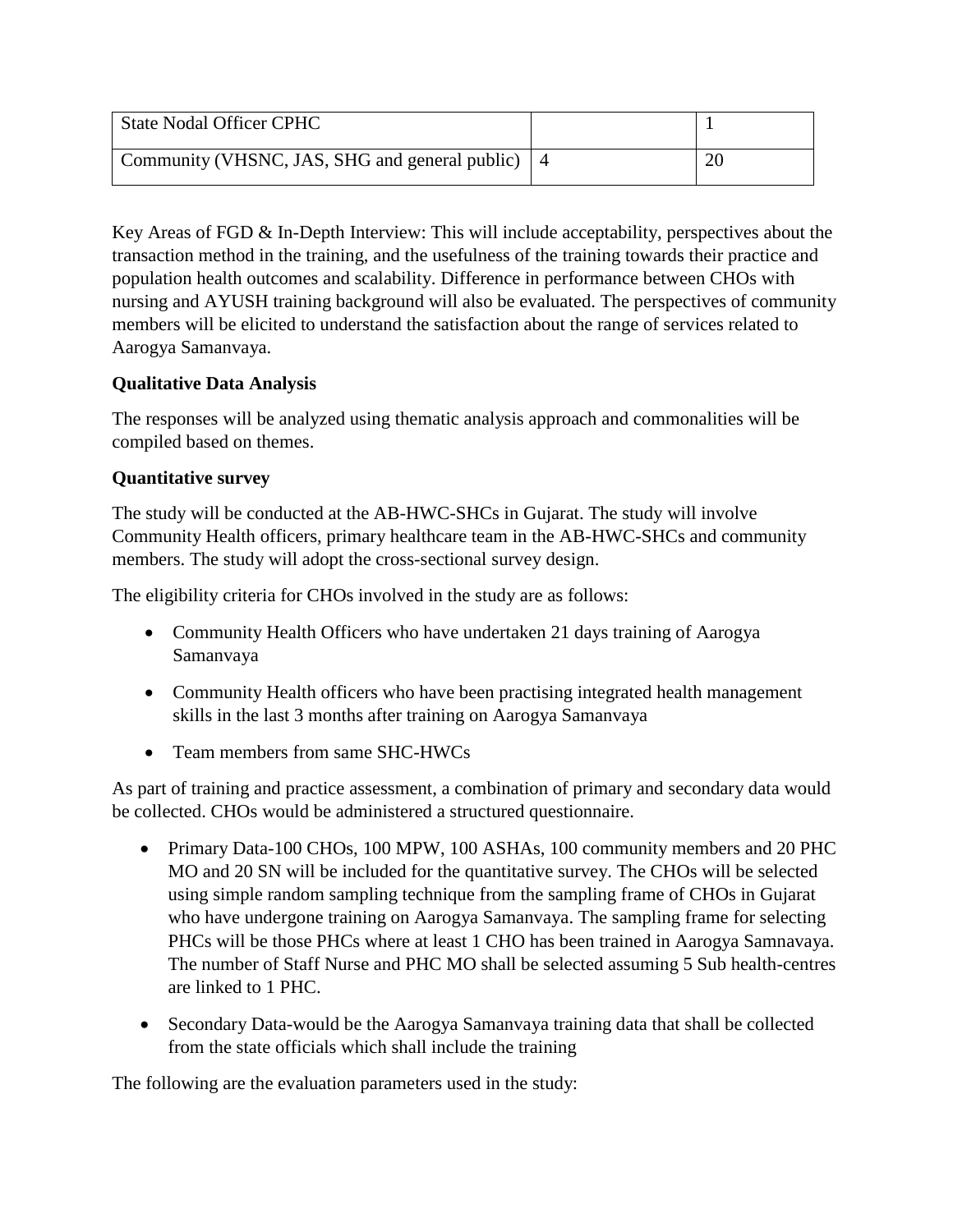| <b>State Nodal Officer CPHC</b>                    |  |
|----------------------------------------------------|--|
| Community (VHSNC, JAS, SHG and general public)   4 |  |

Key Areas of FGD & In-Depth Interview: This will include acceptability, perspectives about the transaction method in the training, and the usefulness of the training towards their practice and population health outcomes and scalability. Difference in performance between CHOs with nursing and AYUSH training background will also be evaluated. The perspectives of community members will be elicited to understand the satisfaction about the range of services related to Aarogya Samanvaya.

#### **Qualitative Data Analysis**

The responses will be analyzed using thematic analysis approach and commonalities will be compiled based on themes.

#### **Quantitative survey**

The study will be conducted at the AB-HWC-SHCs in Gujarat. The study will involve Community Health officers, primary healthcare team in the AB-HWC-SHCs and community members. The study will adopt the cross-sectional survey design.

The eligibility criteria for CHOs involved in the study are as follows:

- Community Health Officers who have undertaken 21 days training of Aarogya Samanvaya
- Community Health officers who have been practising integrated health management skills in the last 3 months after training on Aarogya Samanvaya
- Team members from same SHC-HWCs

As part of training and practice assessment, a combination of primary and secondary data would be collected. CHOs would be administered a structured questionnaire.

- Primary Data-100 CHOs, 100 MPW, 100 ASHAs, 100 community members and 20 PHC MO and 20 SN will be included for the quantitative survey. The CHOs will be selected using simple random sampling technique from the sampling frame of CHOs in Gujarat who have undergone training on Aarogya Samanvaya. The sampling frame for selecting PHCs will be those PHCs where at least 1 CHO has been trained in Aarogya Samnavaya. The number of Staff Nurse and PHC MO shall be selected assuming 5 Sub health-centres are linked to 1 PHC.
- Secondary Data-would be the Aarogya Samanvaya training data that shall be collected from the state officials which shall include the training

The following are the evaluation parameters used in the study: